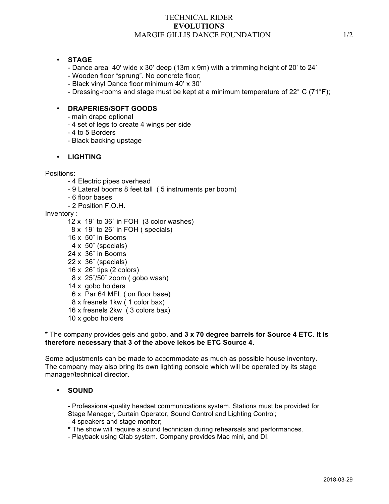## TECHNICAL RIDER **EVOLUTIONS** MARGIE GILLIS DANCE FOUNDATION 1/2

## • **STAGE**

- Dance area 40' wide x 30' deep (13m x 9m) with a trimming height of 20' to 24'
- Wooden floor "sprung". No concrete floor;
- Black vinyl Dance floor minimum 40' x 30'
- Dressing-rooms and stage must be kept at a minimum temperature of 22° C (71°F);

# • **DRAPERIES/SOFT GOODS**

- main drape optional
- 4 set of legs to create 4 wings per side
- 4 to 5 Borders
- Black backing upstage

#### • **LIGHTING**

Positions:

- 4 Electric pipes overhead
- 9 Lateral booms 8 feet tall ( 5 instruments per boom)
- 6 floor bases
- 2 Position F.O.H.

Inventory :

- 12 x 19˚ to 36˚ in FOH (3 color washes)
- 8 x 19˚ to 26˚ in FOH ( specials)
- 16 x 50˚ in Booms
- 4 x 50˚ (specials)
- 24 x 36˚ in Booms
- 22 x 36˚ (specials)
- $16 \times 26^\circ$  tips (2 colors)
- 8 x 25˚/50˚ zoom ( gobo wash)
- 14 x gobo holders
- 6 x Par 64 MFL ( on floor base)
- 8 x fresnels 1kw ( 1 color bax)
- 16 x fresnels 2kw ( 3 colors bax)
- 10 x gobo holders

#### **\*** The company provides gels and gobo, **and 3 x 70 degree barrels for Source 4 ETC. It is therefore necessary that 3 of the above lekos be ETC Source 4.**

Some adjustments can be made to accommodate as much as possible house inventory. The company may also bring its own lighting console which will be operated by its stage manager/technical director.

#### • **SOUND**

- Professional-quality headset communications system, Stations must be provided for Stage Manager, Curtain Operator, Sound Control and Lighting Control;

- 4 speakers and stage monitor;
- **\*** The show will require a sound technician during rehearsals and performances.
- Playback using Qlab system. Company provides Mac mini, and DI.